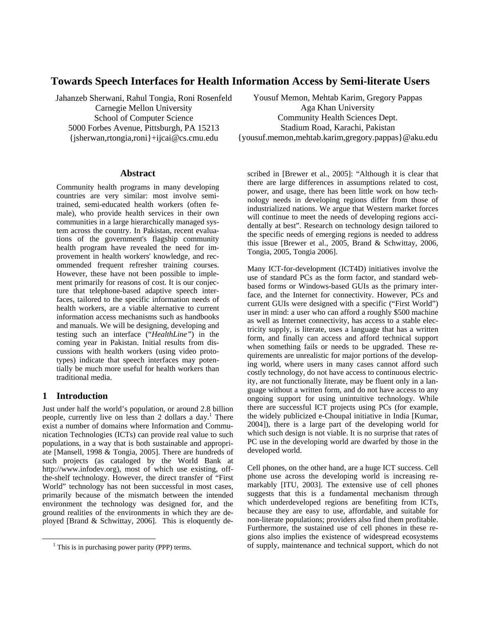# **Towards Speech Interfaces for Health Information Access by Semi-literate Users**

Jahanzeb Sherwani, Rahul Tongia, Roni Rosenfeld Carnegie Mellon University School of Computer Science 5000 Forbes Avenue, Pittsburgh, PA 15213 {jsherwan,rtongia,roni}+ijcai@cs.cmu.edu

#### **Abstract**

Community health programs in many developing countries are very similar: most involve semitrained, semi-educated health workers (often female), who provide health services in their own communities in a large hierarchically managed system across the country. In Pakistan, recent evaluations of the government's flagship community health program have revealed the need for improvement in health workers' knowledge, and recommended frequent refresher training courses. However, these have not been possible to implement primarily for reasons of cost. It is our conjecture that telephone-based adaptive speech interfaces, tailored to the specific information needs of health workers, are a viable alternative to current information access mechanisms such as handbooks and manuals. We will be designing, developing and testing such an interface ("*HealthLine"*) in the coming year in Pakistan. Initial results from discussions with health workers (using video prototypes) indicate that speech interfaces may potentially be much more useful for health workers than traditional media.

## **1 Introduction**

Just under half the world's population, or around 2.8 billion people, currently live on less than 2 dollars a day.<sup>1</sup> There exist a number of domains where Information and Communication Technologies (ICTs) can provide real value to such populations, in a way that is both sustainable and appropriate [Mansell, 1998 & Tongia, 2005]. There are hundreds of such projects (as cataloged by the World Bank at http://www.infodev.org), most of which use existing, offthe-shelf technology. However, the direct transfer of "First World" technology has not been successful in most cases, primarily because of the mismatch between the intended environment the technology was designed for, and the ground realities of the environments in which they are deployed [Brand & Schwittay, 2006]. This is eloquently de-

Yousuf Memon, Mehtab Karim, Gregory Pappas Aga Khan University Community Health Sciences Dept. Stadium Road, Karachi, Pakistan {yousuf.memon,mehtab.karim,gregory.pappas}@aku.edu

scribed in [Brewer et al., 2005]: "Although it is clear that there are large differences in assumptions related to cost, power, and usage, there has been little work on how technology needs in developing regions differ from those of industrialized nations. We argue that Western market forces will continue to meet the needs of developing regions accidentally at best". Research on technology design tailored to the specific needs of emerging regions is needed to address this issue [Brewer et al., 2005, Brand & Schwittay, 2006, Tongia, 2005, Tongia 2006].

Many ICT-for-development (ICT4D) initiatives involve the use of standard PCs as the form factor, and standard webbased forms or Windows-based GUIs as the primary interface, and the Internet for connectivity. However, PCs and current GUIs were designed with a specific ("First World") user in mind: a user who can afford a roughly \$500 machine as well as Internet connectivity, has access to a stable electricity supply, is literate, uses a language that has a written form, and finally can access and afford technical support when something fails or needs to be upgraded. These requirements are unrealistic for major portions of the developing world, where users in many cases cannot afford such costly technology, do not have access to continuous electricity, are not functionally literate, may be fluent only in a language without a written form, and do not have access to any ongoing support for using unintuitive technology. While there are successful ICT projects using PCs (for example, the widely publicized e-Choupal initiative in India [Kumar, 2004]), there is a large part of the developing world for which such design is not viable. It is no surprise that rates of PC use in the developing world are dwarfed by those in the developed world.

Cell phones, on the other hand, are a huge ICT success. Cell phone use across the developing world is increasing remarkably [ITU, 2003]. The extensive use of cell phones suggests that this is a fundamental mechanism through which underdeveloped regions are benefiting from ICTs, because they are easy to use, affordable, and suitable for non-literate populations; providers also find them profitable. Furthermore, the sustained use of cell phones in these regions also implies the existence of widespread ecosystems of supply, maintenance and technical support, which do not

 $\frac{1}{1}$  $<sup>1</sup>$  This is in purchasing power parity (PPP) terms.</sup>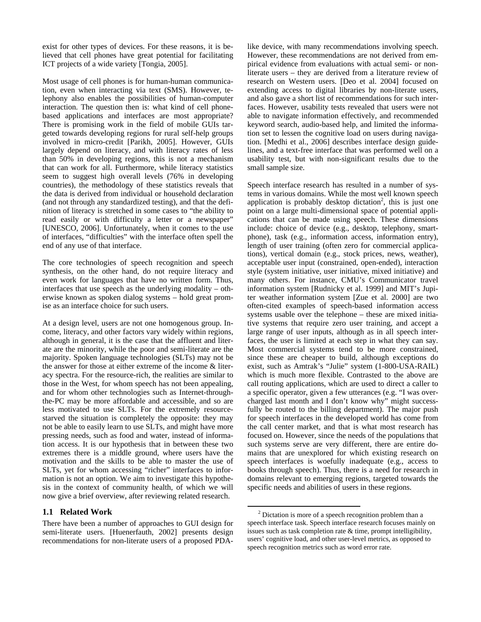exist for other types of devices. For these reasons, it is believed that cell phones have great potential for facilitating ICT projects of a wide variety [Tongia, 2005].

Most usage of cell phones is for human-human communication, even when interacting via text (SMS). However, telephony also enables the possibilities of human-computer interaction. The question then is: what kind of cell phonebased applications and interfaces are most appropriate? There is promising work in the field of mobile GUIs targeted towards developing regions for rural self-help groups involved in micro-credit [Parikh, 2005]. However, GUIs largely depend on literacy, and with literacy rates of less than 50% in developing regions, this is not a mechanism that can work for all. Furthermore, while literacy statistics seem to suggest high overall levels (76% in developing countries), the methodology of these statistics reveals that the data is derived from individual or household declaration (and not through any standardized testing), and that the definition of literacy is stretched in some cases to "the ability to read easily or with difficulty a letter or a newspaper" [UNESCO, 2006]. Unfortunately, when it comes to the use of interfaces, "difficulties" with the interface often spell the end of any use of that interface.

The core technologies of speech recognition and speech synthesis, on the other hand, do not require literacy and even work for languages that have no written form. Thus, interfaces that use speech as the underlying modality – otherwise known as spoken dialog systems – hold great promise as an interface choice for such users.

At a design level, users are not one homogenous group. Income, literacy, and other factors vary widely within regions, although in general, it is the case that the affluent and literate are the minority, while the poor and semi-literate are the majority. Spoken language technologies (SLTs) may not be the answer for those at either extreme of the income & literacy spectra. For the resource-rich, the realities are similar to those in the West, for whom speech has not been appealing, and for whom other technologies such as Internet-throughthe-PC may be more affordable and accessible, and so are less motivated to use SLTs. For the extremely resourcestarved the situation is completely the opposite: they may not be able to easily learn to use SLTs, and might have more pressing needs, such as food and water, instead of information access. It is our hypothesis that in between these two extremes there is a middle ground, where users have the motivation and the skills to be able to master the use of SLTs, yet for whom accessing "richer" interfaces to information is not an option. We aim to investigate this hypothesis in the context of community health, of which we will now give a brief overview, after reviewing related research.

## **1.1 Related Work**

There have been a number of approaches to GUI design for semi-literate users. [Huenerfauth, 2002] presents design recommendations for non-literate users of a proposed PDA-

like device, with many recommendations involving speech. However, these recommendations are not derived from empirical evidence from evaluations with actual semi- or nonliterate users – they are derived from a literature review of research on Western users. [Deo et al. 2004] focused on extending access to digital libraries by non-literate users, and also gave a short list of recommendations for such interfaces. However, usability tests revealed that users were not able to navigate information effectively, and recommended keyword search, audio-based help, and limited the information set to lessen the cognitive load on users during navigation. [Medhi et al., 2006] describes interface design guidelines, and a text-free interface that was performed well on a usability test, but with non-significant results due to the small sample size.

Speech interface research has resulted in a number of systems in various domains. While the most well known speech application is probably desktop dictation<sup>2</sup>, this is just one point on a large multi-dimensional space of potential applications that can be made using speech. These dimensions include: choice of device (e.g., desktop, telephony, smartphone), task (e.g., information access, information entry), length of user training (often zero for commercial applications), vertical domain (e.g., stock prices, news, weather), acceptable user input (constrained, open-ended), interaction style (system initiative, user initiative, mixed initiative) and many others. For instance, CMU's Communicator travel information system [Rudnicky et al. 1999] and MIT's Jupiter weather information system [Zue et al. 2000] are two often-cited examples of speech-based information access systems usable over the telephone – these are mixed initiative systems that require zero user training, and accept a large range of user inputs, although as in all speech interfaces, the user is limited at each step in what they can say. Most commercial systems tend to be more constrained, since these are cheaper to build, although exceptions do exist, such as Amtrak's "Julie" system (1-800-USA-RAIL) which is much more flexible. Contrasted to the above are call routing applications, which are used to direct a caller to a specific operator, given a few utterances (e.g. "I was overcharged last month and I don't know why" might successfully be routed to the billing department). The major push for speech interfaces in the developed world has come from the call center market, and that is what most research has focused on. However, since the needs of the populations that such systems serve are very different, there are entire domains that are unexplored for which existing research on speech interfaces is woefully inadequate (e.g., access to books through speech). Thus, there is a need for research in domains relevant to emerging regions, targeted towards the specific needs and abilities of users in these regions.

 <sup>2</sup>  $2$  Dictation is more of a speech recognition problem than a speech interface task. Speech interface research focuses mainly on issues such as task completion rate & time, prompt intelligibility, users' cognitive load, and other user-level metrics, as opposed to speech recognition metrics such as word error rate.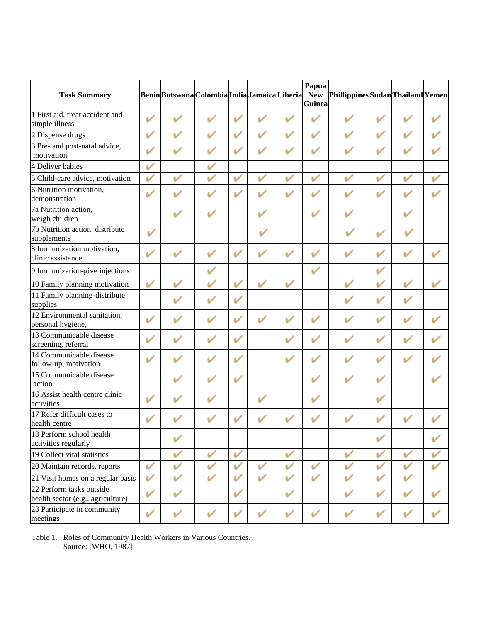| <b>Task Summary</b>                                         |              |   | Benin Botswana Colombia India Jamaica Liberia |   |              |   | Papua<br><b>New</b><br><b>Guinea</b> | Phillippines Sudan Thailand Yemen |   |                          |   |
|-------------------------------------------------------------|--------------|---|-----------------------------------------------|---|--------------|---|--------------------------------------|-----------------------------------|---|--------------------------|---|
| 1 First aid, treat accident and<br>simple illness           | V            |   |                                               |   |              |   | ✓                                    |                                   | ັ |                          |   |
| 2 Dispense drugs                                            | ✓            | ✓ | ✓                                             | ✓ | ✓            | ✓ | V                                    | ✓                                 | ✓ | ✓                        |   |
| 3 Pre- and post-natal advice,<br>motivation                 | V            |   | V                                             | v |              |   | $\mathbf{v}$                         |                                   | v |                          |   |
| 4 Deliver babies                                            | ✓            |   | v                                             |   |              |   |                                      |                                   |   |                          |   |
| 5 Child-care advice, motivation                             | ✓            | ✓ | ✓                                             | v | $\checkmark$ | V | V                                    | ✓                                 | ✓ | ✓                        |   |
| 6 Nutrition motivation,<br>demonstration                    | V            |   |                                               | v |              |   |                                      |                                   |   |                          |   |
| 7a Nutrition action,<br>weigh children                      |              | ✓ | ✓                                             |   |              |   | V                                    | ັ                                 |   |                          |   |
| 7b Nutrition action, distribute<br>supplements              | v            |   |                                               |   |              |   |                                      |                                   | v |                          |   |
| 8 Immunization motivation,<br>clinic assistance             | ✓            | ✓ | $\mathbf{v}$                                  | V |              |   | V                                    | $\overline{\mathscr{L}}$          | V |                          |   |
| 9 Immunization-give injections                              |              |   | V                                             |   |              |   | $\checkmark$                         |                                   | V |                          |   |
| 10 Family planning motivation                               | V            |   | ✓                                             | ✓ | ✓            | v |                                      | ✓                                 | v | ✓                        |   |
| 11 Family planning-distribute<br>supplies                   |              |   | ✓                                             | V |              |   |                                      |                                   | v |                          |   |
| 12 Environmental sanitation,<br>personal hygiene,           | ✓            | ✓ | $\mathbf{v}$                                  | V |              | V | $\mathbf{v}$                         |                                   | V | $\overline{\mathscr{L}}$ |   |
| 13 Communicable disease<br>screening, referral              | V            | ✓ | ✓                                             | v |              |   | V                                    | $\overline{\phantom{a}}$          | V | ✓                        |   |
| 14 Communicable disease<br>follow-up, motivation            | $\mathbf{v}$ |   |                                               | v |              | ✓ | $\mathbf{v}$                         | $\overline{\phantom{a}}$          | V | $\mathbf{v}$             |   |
| 15 Communicable disease<br>action                           |              |   | v                                             | v |              |   | V                                    | V                                 | v |                          |   |
| 16 Assist health centre clinic<br>activities                | ✓            |   |                                               |   | V            |   | V                                    |                                   | v |                          |   |
| 17 Refer difficult cases to<br>health centre                |              |   |                                               |   |              |   |                                      |                                   |   |                          |   |
| 18 Perform school health<br>activities regularly            |              |   |                                               |   |              |   |                                      |                                   | v |                          |   |
| 19 Collect vital statistics                                 |              | v | V                                             | ✓ |              | V |                                      | V                                 | v | ✓                        | ✓ |
| 20 Maintain records, reports                                | ✓            | ✓ | ✓                                             |   | ✓            | V | ✓                                    | ✓                                 | v | ✓                        | ✓ |
| 21 Visit homes on a regular basis                           | ✓            | ✓ | ✓                                             | v | ✓            | ✓ | $\checkmark$                         | ✓                                 | v | ✓                        |   |
| 22 Perform tasks outside<br>health sector (e.g agriculture) | V            | ✓ |                                               | V |              | ✓ |                                      |                                   | v | $\mathbf{v}$             |   |
| 23 Participate in community<br>meetings                     | ✓            | ✓ | $\mathbf{v}$                                  | V |              |   | $\checkmark$                         | v                                 | v |                          |   |

Table 1. Roles of Community Health Workers in Various Countries. Source: [WHO, 1987]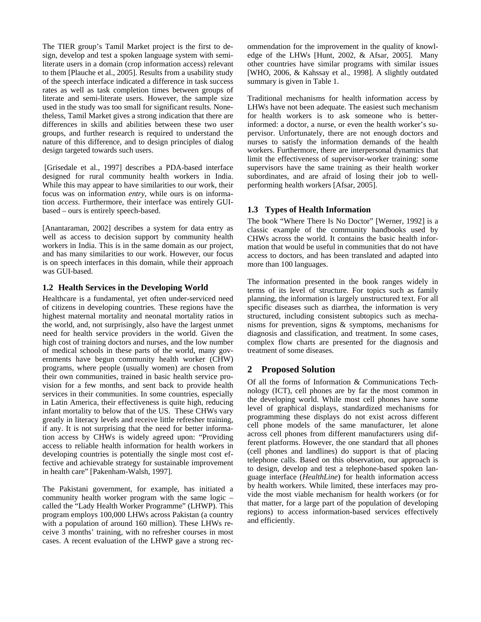The TIER group's Tamil Market project is the first to design, develop and test a spoken language system with semiliterate users in a domain (crop information access) relevant to them [Plauche et al., 2005]. Results from a usability study of the speech interface indicated a difference in task success rates as well as task completion times between groups of literate and semi-literate users. However, the sample size used in the study was too small for significant results. Nonetheless, Tamil Market gives a strong indication that there are differences in skills and abilities between these two user groups, and further research is required to understand the nature of this difference, and to design principles of dialog design targeted towards such users.

 [Grisedale et al., 1997] describes a PDA-based interface designed for rural community health workers in India. While this may appear to have similarities to our work, their focus was on information *entry*, while ours is on information *access*. Furthermore, their interface was entirely GUIbased – ours is entirely speech-based.

[Anantaraman, 2002] describes a system for data entry as well as access to decision support by community health workers in India. This is in the same domain as our project, and has many similarities to our work. However, our focus is on speech interfaces in this domain, while their approach was GUI-based.

#### **1.2 Health Services in the Developing World**

Healthcare is a fundamental, yet often under-serviced need of citizens in developing countries. These regions have the highest maternal mortality and neonatal mortality ratios in the world, and, not surprisingly, also have the largest unmet need for health service providers in the world. Given the high cost of training doctors and nurses, and the low number of medical schools in these parts of the world, many governments have begun community health worker (CHW) programs, where people (usually women) are chosen from their own communities, trained in basic health service provision for a few months, and sent back to provide health services in their communities. In some countries, especially in Latin America, their effectiveness is quite high, reducing infant mortality to below that of the US. These CHWs vary greatly in literacy levels and receive little refresher training, if any. It is not surprising that the need for better information access by CHWs is widely agreed upon: "Providing access to reliable health information for health workers in developing countries is potentially the single most cost effective and achievable strategy for sustainable improvement in health care" [Pakenham-Walsh, 1997].

The Pakistani government, for example, has initiated a community health worker program with the same logic – called the "Lady Health Worker Programme" (LHWP). This program employs 100,000 LHWs across Pakistan (a country with a population of around 160 million). These LHWs receive 3 months' training, with no refresher courses in most cases. A recent evaluation of the LHWP gave a strong recommendation for the improvement in the quality of knowledge of the LHWs [Hunt, 2002, & Afsar, 2005]. Many other countries have similar programs with similar issues [WHO, 2006, & Kahssay et al., 1998]. A slightly outdated summary is given in Table 1.

Traditional mechanisms for health information access by LHWs have not been adequate. The easiest such mechanism for health workers is to ask someone who is betterinformed: a doctor, a nurse, or even the health worker's supervisor. Unfortunately, there are not enough doctors and nurses to satisfy the information demands of the health workers. Furthermore, there are interpersonal dynamics that limit the effectiveness of supervisor-worker training: some supervisors have the same training as their health worker subordinates, and are afraid of losing their job to wellperforming health workers [Afsar, 2005].

## **1.3 Types of Health Information**

The book "Where There Is No Doctor" [Werner, 1992] is a classic example of the community handbooks used by CHWs across the world. It contains the basic health information that would be useful in communities that do not have access to doctors, and has been translated and adapted into more than 100 languages.

The information presented in the book ranges widely in terms of its level of structure. For topics such as family planning, the information is largely unstructured text. For all specific diseases such as diarrhea, the information is very structured, including consistent subtopics such as mechanisms for prevention, signs & symptoms, mechanisms for diagnosis and classification, and treatment. In some cases, complex flow charts are presented for the diagnosis and treatment of some diseases.

# **2 Proposed Solution**

Of all the forms of Information & Communications Technology (ICT), cell phones are by far the most common in the developing world. While most cell phones have some level of graphical displays, standardized mechanisms for programming these displays do not exist across different cell phone models of the same manufacturer, let alone across cell phones from different manufacturers using different platforms. However, the one standard that all phones (cell phones and landlines) do support is that of placing telephone calls. Based on this observation, our approach is to design, develop and test a telephone-based spoken language interface (*HealthLine*) for health information access by health workers. While limited, these interfaces may provide the most viable mechanism for health workers (or for that matter, for a large part of the population of developing regions) to access information-based services effectively and efficiently.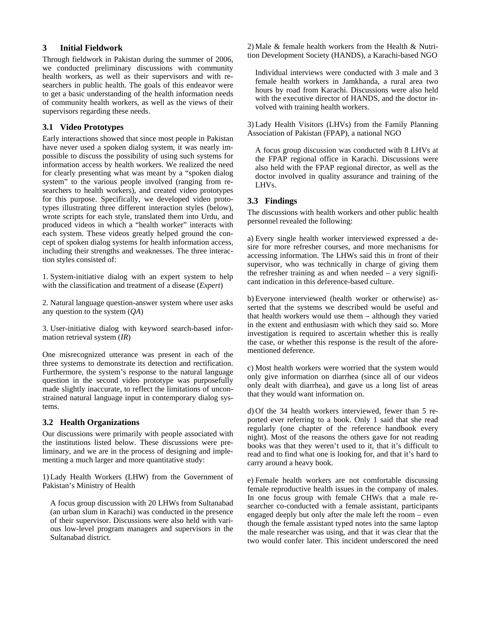## **3 Initial Fieldwork**

Through fieldwork in Pakistan during the summer of 2006, we conducted preliminary discussions with community health workers, as well as their supervisors and with researchers in public health. The goals of this endeavor were to get a basic understanding of the health information needs of community health workers, as well as the views of their supervisors regarding these needs.

## **3.1 Video Prototypes**

Early interactions showed that since most people in Pakistan have never used a spoken dialog system, it was nearly impossible to discuss the possibility of using such systems for information access by health workers. We realized the need for clearly presenting what was meant by a "spoken dialog system" to the various people involved (ranging from researchers to health workers), and created video prototypes for this purpose. Specifically, we developed video prototypes illustrating three different interaction styles (below), wrote scripts for each style, translated them into Urdu, and produced videos in which a "health worker" interacts with each system. These videos greatly helped ground the concept of spoken dialog systems for health information access, including their strengths and weaknesses. The three interaction styles consisted of:

1. System-initiative dialog with an expert system to help with the classification and treatment of a disease (*Expert*)

2. Natural language question-answer system where user asks any question to the system (*QA*)

3. User-initiative dialog with keyword search-based information retrieval system (*IR*)

One misrecognized utterance was present in each of the three systems to demonstrate its detection and rectification. Furthermore, the system's response to the natural language question in the second video prototype was purposefully made slightly inaccurate, to reflect the limitations of unconstrained natural language input in contemporary dialog systems.

## **3.2 Health Organizations**

Our discussions were primarily with people associated with the institutions listed below. These discussions were preliminary, and we are in the process of designing and implementing a much larger and more quantitative study:

1) Lady Health Workers (LHW) from the Government of Pakistan's Ministry of Health

A focus group discussion with 20 LHWs from Sultanabad (an urban slum in Karachi) was conducted in the presence of their supervisor. Discussions were also held with various low-level program managers and supervisors in the Sultanabad district.

2) Male & female health workers from the Health & Nutrition Development Society (HANDS), a Karachi-based NGO

Individual interviews were conducted with 3 male and 3 female health workers in Jamkhanda, a rural area two hours by road from Karachi. Discussions were also held with the executive director of HANDS, and the doctor involved with training health workers.

3) Lady Health Visitors (LHVs) from the Family Planning Association of Pakistan (FPAP), a national NGO

A focus group discussion was conducted with 8 LHVs at the FPAP regional office in Karachi. Discussions were also held with the FPAP regional director, as well as the doctor involved in quality assurance and training of the LHVs.

# **3.3 Findings**

The discussions with health workers and other public health personnel revealed the following:

a) Every single health worker interviewed expressed a desire for more refresher courses, and more mechanisms for accessing information. The LHWs said this in front of their supervisor, who was technically in charge of giving them the refresher training as and when needed  $-$  a very significant indication in this deference-based culture.

b) Everyone interviewed (health worker or otherwise) asserted that the systems we described would be useful and that health workers would use them – although they varied in the extent and enthusiasm with which they said so. More investigation is required to ascertain whether this is really the case, or whether this response is the result of the aforementioned deference.

c) Most health workers were worried that the system would only give information on diarrhea (since all of our videos only dealt with diarrhea), and gave us a long list of areas that they would want information on.

d) Of the 34 health workers interviewed, fewer than 5 reported ever referring to a book. Only 1 said that she read regularly (one chapter of the reference handbook every night). Most of the reasons the others gave for not reading books was that they weren't used to it, that it's difficult to read and to find what one is looking for, and that it's hard to carry around a heavy book.

e) Female health workers are not comfortable discussing female reproductive health issues in the company of males. In one focus group with female CHWs that a male researcher co-conducted with a female assistant, participants engaged deeply but only after the male left the room – even though the female assistant typed notes into the same laptop the male researcher was using, and that it was clear that the two would confer later. This incident underscored the need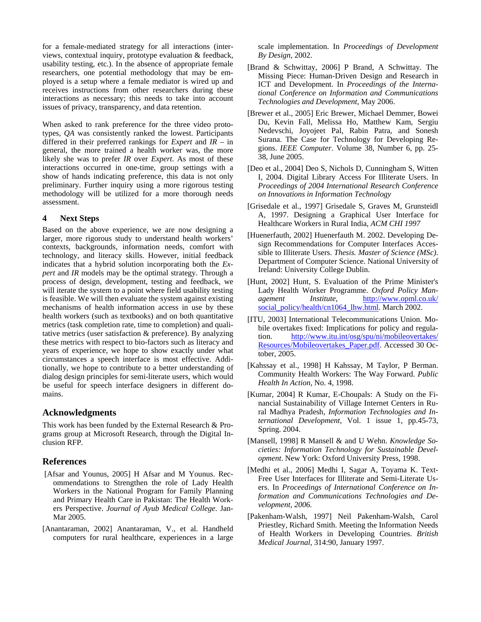for a female-mediated strategy for all interactions (interviews, contextual inquiry, prototype evaluation & feedback, usability testing, etc.). In the absence of appropriate female researchers, one potential methodology that may be employed is a setup where a female mediator is wired up and receives instructions from other researchers during these interactions as necessary; this needs to take into account issues of privacy, transparency, and data retention.

When asked to rank preference for the three video prototypes, *QA* was consistently ranked the lowest. Participants differed in their preferred rankings for *Expert* and *IR* – in general, the more trained a health worker was, the more likely she was to prefer *IR* over *Expert*. As most of these interactions occurred in one-time, group settings with a show of hands indicating preference, this data is not only preliminary. Further inquiry using a more rigorous testing methodology will be utilized for a more thorough needs assessment.

#### **4 Next Steps**

Based on the above experience, we are now designing a larger, more rigorous study to understand health workers' contexts, backgrounds, information needs, comfort with technology, and literacy skills. However, initial feedback indicates that a hybrid solution incorporating both the *Expert* and *IR* models may be the optimal strategy. Through a process of design, development, testing and feedback, we will iterate the system to a point where field usability testing is feasible. We will then evaluate the system against existing mechanisms of health information access in use by these health workers (such as textbooks) and on both quantitative metrics (task completion rate, time to completion) and qualitative metrics (user satisfaction & preference). By analyzing these metrics with respect to bio-factors such as literacy and years of experience, we hope to show exactly under what circumstances a speech interface is most effective. Additionally, we hope to contribute to a better understanding of dialog design principles for semi-literate users, which would be useful for speech interface designers in different domains.

## **Acknowledgments**

This work has been funded by the External Research & Programs group at Microsoft Research, through the Digital Inclusion RFP.

## **References**

- [Afsar and Younus, 2005] H Afsar and M Younus. Recommendations to Strengthen the role of Lady Health Workers in the National Program for Family Planning and Primary Health Care in Pakistan: The Health Workers Perspective. *Journal of Ayub Medical College*. Jan-Mar 2005.
- [Anantaraman, 2002] Anantaraman, V., et al. Handheld computers for rural healthcare, experiences in a large

scale implementation. In *Proceedings of Development By Design,* 2002.

- [Brand & Schwittay, 2006] P Brand, A Schwittay. The Missing Piece: Human-Driven Design and Research in ICT and Development. In *Proceedings of the International Conference on Information and Communications Technologies and Development*, May 2006.
- [Brewer et al., 2005] Eric Brewer, Michael Demmer, Bowei Du, Kevin Fall, Melissa Ho, Matthew Kam, Sergiu Nedevschi, Joyojeet Pal, Rabin Patra, and Sonesh Surana. The Case for Technology for Developing Regions. *IEEE Computer*. Volume 38, Number 6, pp. 25- 38, June 2005.
- [Deo et al., 2004] Deo S, Nichols D, Cunningham S, Witten I, 2004. Digital Library Access For Illiterate Users. In *Proceedings of 2004 International Research Conference on Innovations in Information Technology*
- [Grisedale et al., 1997] Grisedale S, Graves M, Grunsteidl A, 1997. Designing a Graphical User Interface for Healthcare Workers in Rural India, *ACM CHI 1997*
- [Huenerfauth, 2002] Huenerfauth M. 2002. Developing Design Recommendations for Computer Interfaces Accessible to Illiterate Users. *Thesis. Master of Science (MSc)*. Department of Computer Science. National University of Ireland: University College Dublin.
- [Hunt, 2002] Hunt, S. Evaluation of the Prime Minister's Lady Health Worker Programme. *Oxford Policy Management Institute*, http://www.opml.co.uk/ social\_policy/health/cn1064\_lhw.html. March 2002.
- [ITU, 2003] International Telecommunications Union. Mobile overtakes fixed: Implications for policy and regulation. http://www.itu.int/osg/spu/ni/mobileovertakes/ Resources/Mobileovertakes\_Paper.pdf. Accessed 30 October, 2005.
- [Kahssay et al., 1998] H Kahssay, M Taylor, P Berman. Community Health Workers: The Way Forward. *Public Health In Action*, No. 4, 1998.
- [Kumar, 2004] R Kumar, E-Choupals: A Study on the Financial Sustainability of Village Internet Centers in Rural Madhya Pradesh, *Information Technologies and International Development*, Vol. 1 issue 1, pp.45-73, Spring. 2004.
- [Mansell, 1998] R Mansell & and U Wehn. *Knowledge Societies: Information Technology for Sustainable Development*. New York: Oxford University Press, 1998.
- [Medhi et al., 2006] Medhi I, Sagar A, Toyama K. Text-Free User Interfaces for Illiterate and Semi-Literate Users. In *Proceedings of International Conference on Information and Communications Technologies and Development, 2006.*
- [Pakenham-Walsh, 1997] Neil Pakenham-Walsh, Carol Priestley, Richard Smith. Meeting the Information Needs of Health Workers in Developing Countries. *British Medical Journal*, 314:90, January 1997.